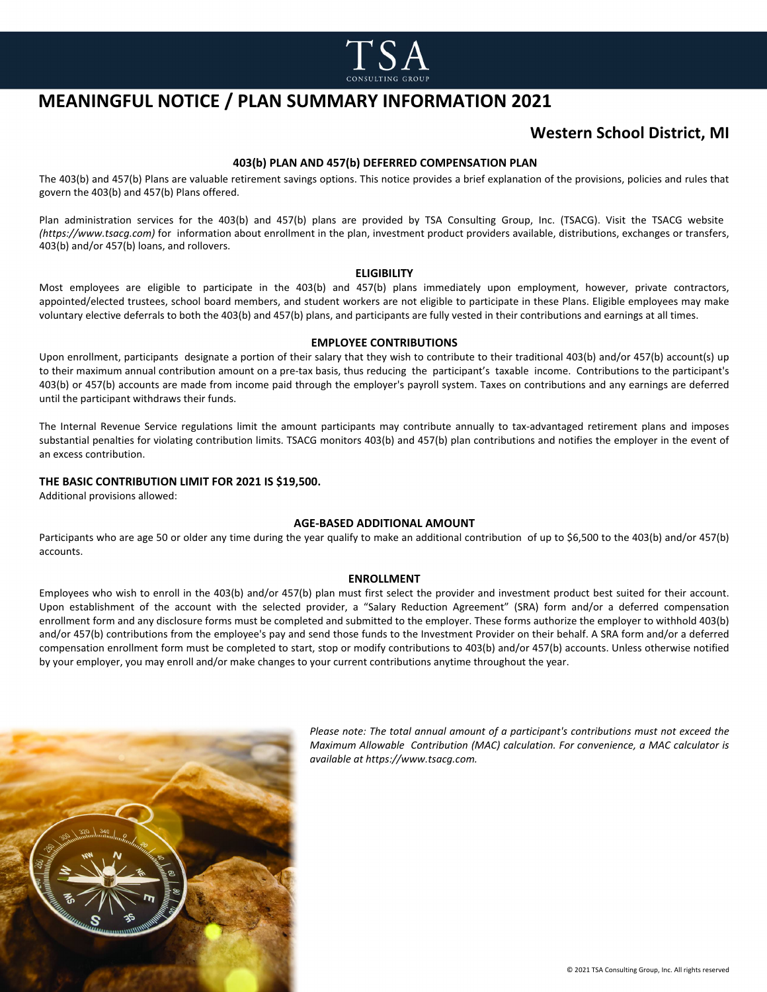

# **MEANINGFUL NOTICE / PLAN SUMMARY INFORMATION 2021**

### **Western School District, MI**

#### **403(b) PLAN AND 457(b) DEFERRED COMPENSATION PLAN**

The 403(b) and 457(b) Plans are valuable retirement savings options. This notice provides a brief explanation of the provisions, policies and rules that govern the 403(b) and 457(b) Plans offered.

Plan administration services for the 403(b) and 457(b) plans are provided by TSA Consulting Group, Inc. (TSACG). Visit the TSACG website *(https://www.tsacg.com)* for information about enrollment in the plan, investment product providers available, distributions, exchanges or transfers, 403(b) and/or 457(b) loans, and rollovers.

#### **ELIGIBILITY**

Most employees are eligible to participate in the 403(b) and 457(b) plans immediately upon employment, however, private contractors, appointed/elected trustees, school board members, and student workers are not eligible to participate in these Plans. Eligible employees may make voluntary elective deferrals to both the 403(b) and 457(b) plans, and participants are fully vested in their contributions and earnings at all times.

#### **EMPLOYEE CONTRIBUTIONS**

Upon enrollment, participants designate a portion of their salary that they wish to contribute to their traditional 403(b) and/or 457(b) account(s) up to their maximum annual contribution amount on a pre-tax basis, thus reducing the participant's taxable income. Contributions to the participant's 403(b) or 457(b) accounts are made from income paid through the employer's payroll system. Taxes on contributions and any earnings are deferred until the participant withdraws their funds.

The Internal Revenue Service regulations limit the amount participants may contribute annually to tax-advantaged retirement plans and imposes substantial penalties for violating contribution limits. TSACG monitors 403(b) and 457(b) plan contributions and notifies the employer in the event of an excess contribution.

#### **THE BASIC CONTRIBUTION LIMIT FOR 2021 IS \$19,500.**

Additional provisions allowed:

#### **AGE-BASED ADDITIONAL AMOUNT**

Participants who are age 50 or older any time during the year qualify to make an additional contribution of up to \$6,500 to the 403(b) and/or 457(b) accounts.

#### **ENROLLMENT**

Employees who wish to enroll in the 403(b) and/or 457(b) plan must first select the provider and investment product best suited for their account. Upon establishment of the account with the selected provider, a "Salary Reduction Agreement" (SRA) form and/or a deferred compensation enrollment form and any disclosure forms must be completed and submitted to the employer. These forms authorize the employer to withhold 403(b) and/or 457(b) contributions from the employee's pay and send those funds to the Investment Provider on their behalf. A SRA form and/or a deferred compensation enrollment form must be completed to start, stop or modify contributions to 403(b) and/or 457(b) accounts. Unless otherwise notified by your employer, you may enroll and/or make changes to your current contributions anytime throughout the year.



*Please note: The total annual amount of a participant's contributions must not exceed the Maximum Allowable Contribution (MAC) calculation. For convenience, a MAC calculator is available at https://www.tsacg.com.*